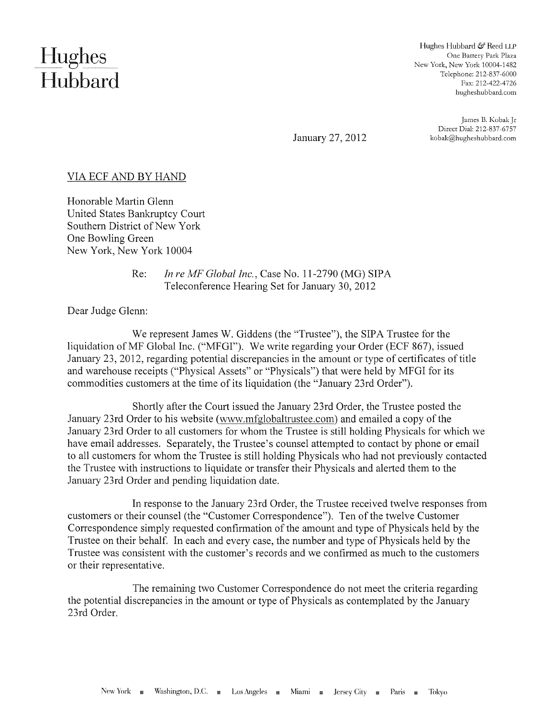## **Hughes** Hubbard

Hughes Hubbard & Reed LLP One Battery Park Plaza New York, New York 10004-1482 Telephone: 212-837-6000 Fax: 212-422-4726 hugheshubbard.com

January 27, 2012

James B. Kobak Jr Direct Dial: 212-837-6757 kobak@hugheshubbard.com

## VIA ECF AND BY HAND

Honorable Martin Glenn United States Bankruptcy Court Southern District of New York One Bowling Green New York, New York 10004

> Re: *In re MF Global Inc.,* Case No. 11-2790 (MG) SIPA Teleconference Hearing Set for January 30, 2012

Dear Judge Glenn:

We represent James W. Giddens (the "Trustee"), the SIPA Trustee for the liquidation ofMF Global Inc. ("MFGI"). We write regarding your Order (ECF 867), issued January 23, 2012, regarding potential discrepancies in the amount or type of certificates of title and warehouse receipts ("Physical Assets" or "Physicals") that were held by MFGI for its commodities customers at the time of its liquidation (the "January 23rd Order").

Shortly after the Court issued the January 23rd Order, the Trustee posted the January 23rd Order to his website (www.mfglobaltrustee.com) and emailed a copy of the January 23rd Order to all customers for whom the Trustee is still holding Physicals for which we have email addresses. Separately, the Trustee's counsel attempted to contact by phone or email to all customers for whom the Trustee is still holding Physicals who had not previously contacted the Trustee with instructions to liquidate or transfer their Physicals and alerted them to the January 23rd Order and pending liquidation date.

In response to the January 23rd Order, the Trustee received twelve responses from customers or their counsel (the "Customer Correspondence"). Ten of the twelve Customer Correspondence simply requested confirmation of the amount and type of Physicals held by the Trustee on their behalf. In each and every case, the number and type of Physicals held by the Trustee was consistent with the customer's records and we confirmed as much to the customers or their representative.

The remaining two Customer Correspondence do not meet the criteria regarding the potential discrepancies in the amount or type of Physicals as contemplated by the January 23rd Order.